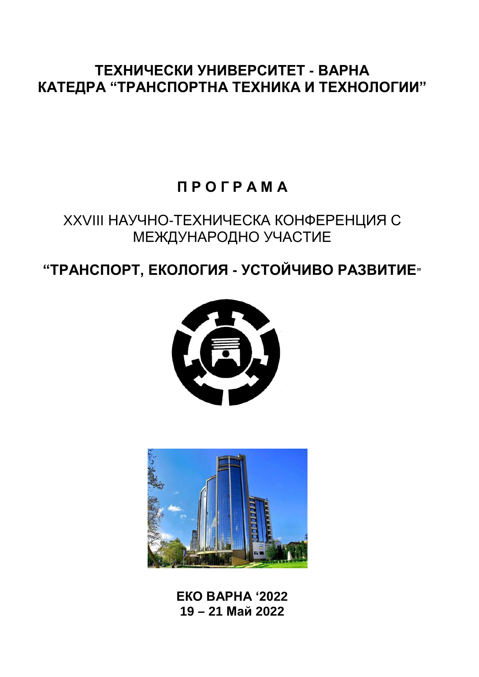### ТЕХНИЧЕСКИ УНИВЕРСИТЕТ - ВАРНА КАТЕДРА "ТРАНСПОРТНА ТЕХНИКА И ТЕХНОЛОГИИ"

## **ПРОГРАМА**

## **XXVIII НАУЧНО-ТЕХНИЧЕСКА КОНФЕРЕНЦИЯ С** МЕЖДУНАРОДНО УЧАСТИЕ

# **"ТРАНСПОРТ, ЕКОЛОГИЯ - УСТОЙЧИВО РАЗВИТИЕ"**





**EKO BAPHA '2022** 19 - 21 Май 2022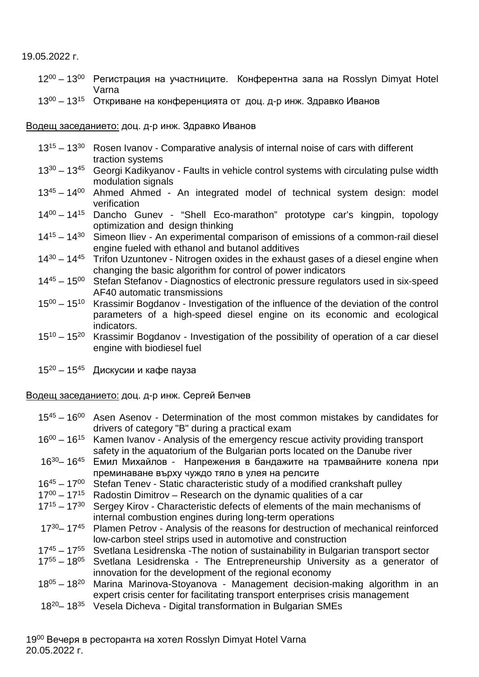#### 19.05.2022 г.

- $12^{00} 13^{00}$  Регистрация на участниците. Конферентна зала на Rosslyn Dimyat Hotel Varna
- 1300 1315 Откриване на конференцията от доц. д-р инж. Здравко Иванов

Водещ заседанието: доц. д-р инж. Здравко Иванов

- $13^{15} 13^{30}$  Rosen Ivanov Comparative analysis of internal noise of cars with different traction systems
- $13^{30} 13^{45}$  Georgi Kadikyanov Faults in vehicle control systems with circulating pulse width modulation signals
- 1345 1400 Ahmed Ahmed An integrated model of technical system design: model verification
- 1400 1415 Dancho Gunev "Shell Eco-marathon" prototype car's kingpin, topology optimization and design thinking
- 1415 1430 Simeon Iliev An experimental comparison of emissions of a common-rail diesel engine fueled with ethanol and butanol additives
- $14^{30} 14^{45}$  Trifon Uzuntonev Nitrogen oxides in the exhaust gases of a diesel engine when changing the basic algorithm for control of power indicators
- 1445 1500 Stefan Stefanov Diagnostics of electronic pressure regulators used in six-speed AF40 automatic transmissions
- 1500 1510 Krassimir Bogdanov Investigation of the influence of the deviation of the control parameters of a high-speed diesel engine on its economic and ecological indicators.
- $15^{10} 15^{20}$  Krassimir Bogdanov Investigation of the possibility of operation of a car diesel engine with biodiesel fuel
- $15^{20} 15^{45}$  Дискусии и кафе пауза

Водещ заседанието: доц. д-р инж. Сергей Белчев

- $15^{45} 16^{00}$  Asen Asenov Determination of the most common mistakes by candidates for drivers of category "B" during a practical exam
- $16^{00} 16^{15}$  Kamen Ivanov Analysis of the emergency rescue activity providing transport safety in the aquatorium of the Bulgarian ports located on the Danube river
- 1630– 1645 Емил Михайлов Напрежения в бандажите на трамвайните колела при преминаване върху чуждо тяло в улея на релсите
- $16^{45} 17^{00}$  Stefan Tenev Static characteristic study of a modified crankshaft pulley
- $17<sup>00</sup> 17<sup>15</sup>$  Radostin Dimitrov Research on the dynamic qualities of a car
- $17^{15} 17^{30}$  Sergey Kirov Characteristic defects of elements of the main mechanisms of internal combustion engines during long-term operations
- 17<sup>30</sup>– 17<sup>45</sup> Plamen Petrov Analysis of the reasons for destruction of mechanical reinforced low-carbon steel strips used in automotive and construction
- 1745 1755 Svetlana Lesidrenska -The notion of sustainability in Bulgarian transport sector
- $17<sup>55</sup> 18<sup>05</sup>$  Svetlana Lesidrenska The Entrepreneurship University as a generator of innovation for the development of the regional economy
- 1805 1820 Marina Marinova-Stoyanova Management decision-making algorithm in an expert crisis center for facilitating transport enterprises crisis management
- 1820– 1835 Vesela Dicheva Digital transformation in Bulgarian SMEs